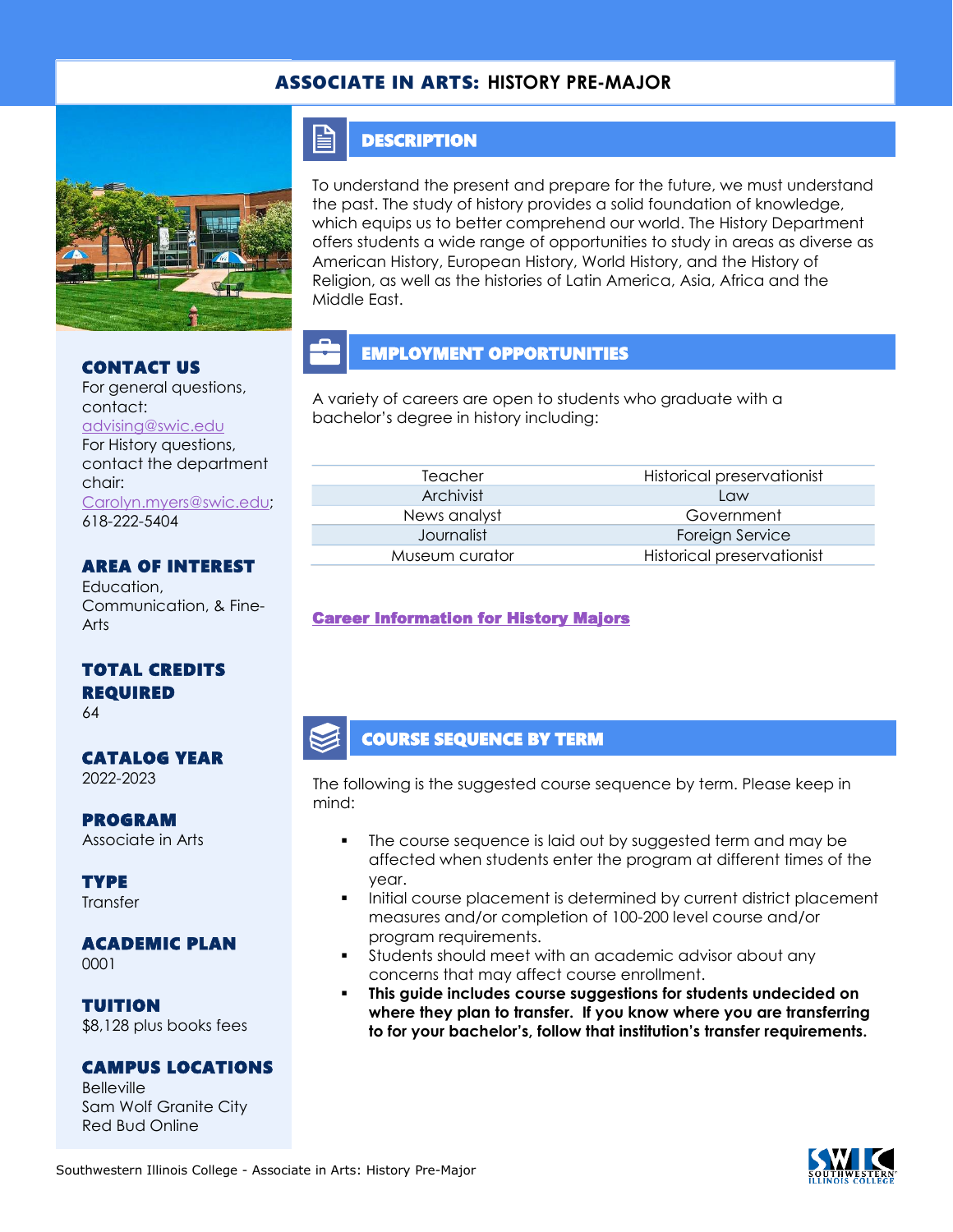#### ASSOCIATE IN ARTS: **HISTORY PRE-MAJOR**



## CONTACT US

For general questions, contact: [advising@swic.edu](mailto:advising@swic.edu) For History questions, contact the department chair: [Carolyn.myers@swic.edu;](mailto:Carolyn.myers@swic.edu) 618-222-5404

### AREA OF INTEREST

Education, Communication, & Fine-Arts

#### TOTAL CREDITS REQUIRED

64

## CATALOG YEAR

2022-2023

# PROGRAM

Associate in Arts

TYPE **Transfer** 

#### ACADEMIC PLAN 0001

TUITION \$8,128 plus books fees

#### CAMPUS LOCATIONS

Belleville Sam Wolf Granite City Red Bud Online

#### **DESCRIPTION**

 $\mathop{=}$ 

To understand the present and prepare for the future, we must understand the past. The study of history provides a solid foundation of knowledge, which equips us to better comprehend our world. The History Department offers students a wide range of opportunities to study in areas as diverse as American History, European History, World History, and the History of Religion, as well as the histories of Latin America, Asia, Africa and the Middle East.

## EMPLOYMENT OPPORTUNITIES

A variety of careers are open to students who graduate with a bachelor's degree in history including:

| Teacher        | Historical preservationist |
|----------------|----------------------------|
| Archivist      | l aw                       |
| News analyst   | Government                 |
| Journalist     | Foreign Service            |
| Museum curator | Historical preservationist |
|                |                            |

#### [Career Information for History Majors](https://www.onetonline.org/find/quick?s=history)

#### COURSE SEQUENCE BY TERM

The following is the suggested course sequence by term. Please keep in mind:

- The course sequence is laid out by suggested term and may be affected when students enter the program at different times of the year.
- Initial course placement is determined by current district placement measures and/or completion of 100-200 level course and/or program requirements.
- Students should meet with an academic advisor about any concerns that may affect course enrollment.
- This guide includes course suggestions for students undecided on **where they plan to transfer. If you know where you are transferring to for your bachelor's, follow that institution's transfer requirements.**